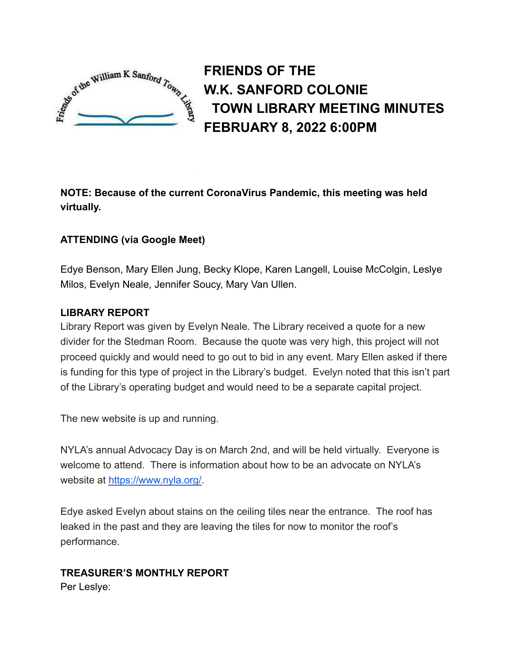

**FRIENDS OF THE W.K. SANFORD COLONIE TOWN LIBRARY MEETING MINUTES FEBRUARY 8, 2022 6:00PM**

**NOTE: Because of the current CoronaVirus Pandemic, this meeting was held virtually.**

# **ATTENDING (via Google Meet)**

Edye Benson, Mary Ellen Jung, Becky Klope, Karen Langell, Louise McColgin, Leslye Milos, Evelyn Neale, Jennifer Soucy, Mary Van Ullen.

## **LIBRARY REPORT**

Library Report was given by Evelyn Neale. The Library received a quote for a new divider for the Stedman Room. Because the quote was very high, this project will not proceed quickly and would need to go out to bid in any event. Mary Ellen asked if there is funding for this type of project in the Library's budget. Evelyn noted that this isn't part of the Library's operating budget and would need to be a separate capital project.

The new website is up and running.

NYLA's annual Advocacy Day is on March 2nd, and will be held virtually. Everyone is welcome to attend. There is information about how to be an advocate on NYLA's website at <https://www.nyla.org/>.

Edye asked Evelyn about stains on the ceiling tiles near the entrance. The roof has leaked in the past and they are leaving the tiles for now to monitor the roof's performance.

# **TREASURER'S MONTHLY REPORT**

Per Leslye: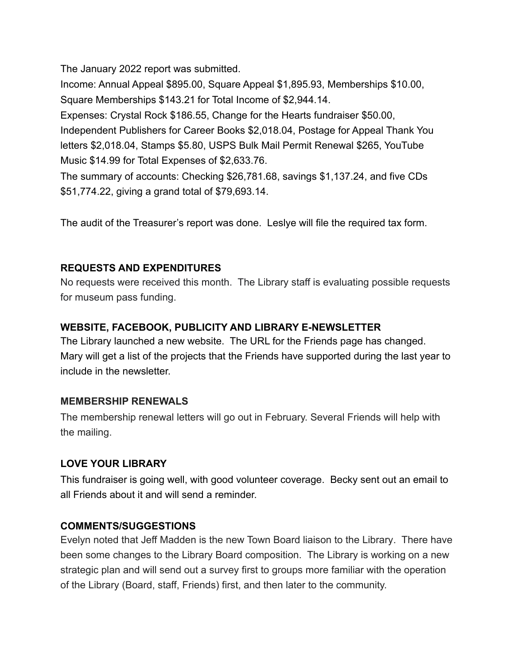The January 2022 report was submitted.

Income: Annual Appeal \$895.00, Square Appeal \$1,895.93, Memberships \$10.00, Square Memberships \$143.21 for Total Income of \$2,944.14. Expenses: Crystal Rock \$186.55, Change for the Hearts fundraiser \$50.00,

Independent Publishers for Career Books \$2,018.04, Postage for Appeal Thank You letters \$2,018.04, Stamps \$5.80, USPS Bulk Mail Permit Renewal \$265, YouTube Music \$14.99 for Total Expenses of \$2,633.76.

The summary of accounts: Checking \$26,781.68, savings \$1,137.24, and five CDs \$51,774.22, giving a grand total of \$79,693.14.

The audit of the Treasurer's report was done. Leslye will file the required tax form.

# **REQUESTS AND EXPENDITURES**

No requests were received this month. The Library staff is evaluating possible requests for museum pass funding.

## **WEBSITE, FACEBOOK, PUBLICITY AND LIBRARY E-NEWSLETTER**

The Library launched a new website. The URL for the Friends page has changed. Mary will get a list of the projects that the Friends have supported during the last year to include in the newsletter.

## **MEMBERSHIP RENEWALS**

The membership renewal letters will go out in February. Several Friends will help with the mailing.

## **LOVE YOUR LIBRARY**

This fundraiser is going well, with good volunteer coverage. Becky sent out an email to all Friends about it and will send a reminder.

## **COMMENTS/SUGGESTIONS**

Evelyn noted that Jeff Madden is the new Town Board liaison to the Library. There have been some changes to the Library Board composition. The Library is working on a new strategic plan and will send out a survey first to groups more familiar with the operation of the Library (Board, staff, Friends) first, and then later to the community.